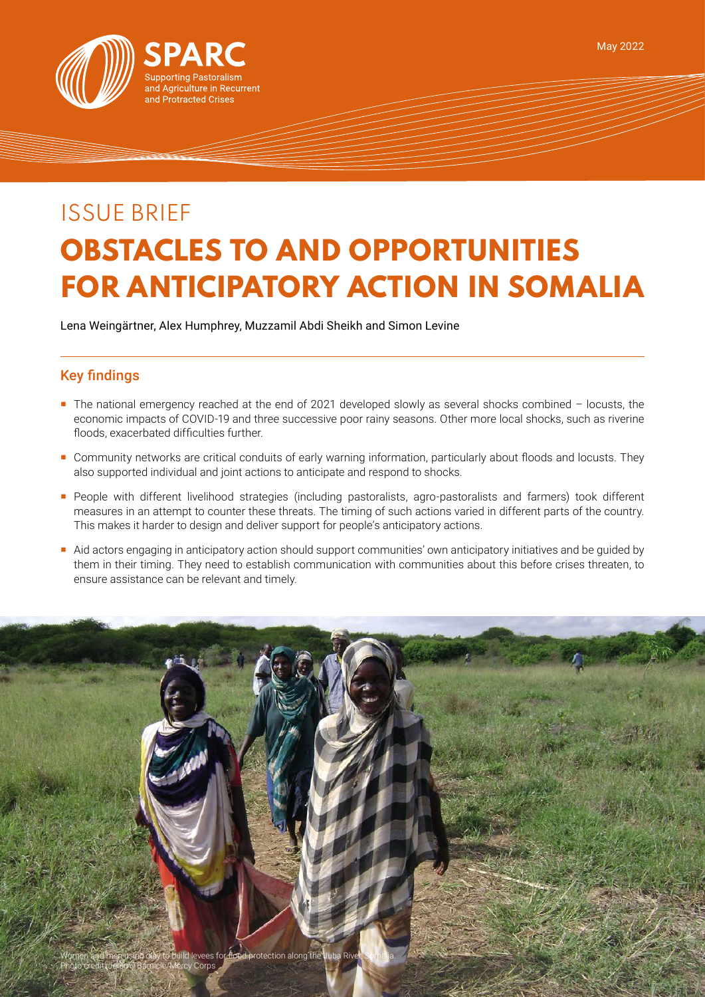

# ISSUE BRIEF **OBSTACLES TO AND OPPORTUNITIES FOR ANTICIPATORY ACTION IN SOMALIA**

Lena Weingärtner, Alex Humphrey, Muzzamil Abdi Sheikh and Simon Levine

## Key findings

- The national emergency reached at the end of 2021 developed slowly as several shocks combined locusts, the economic impacts of COVID-19 and three successive poor rainy seasons. Other more local shocks, such as riverine floods, exacerbated difficulties further.
- Community networks are critical conduits of early warning information, particularly about floods and locusts. They also supported individual and joint actions to anticipate and respond to shocks.
- People with different livelihood strategies (including pastoralists, agro-pastoralists and farmers) took different measures in an attempt to counter these threats. The timing of such actions varied in different parts of the country. This makes it harder to design and deliver support for people's anticipatory actions.
- Aid actors engaging in anticipatory action should support communities' own anticipatory initiatives and be guided by them in their timing. They need to establish communication with communities about this before crises threaten, to ensure assistance can be relevant and timely.

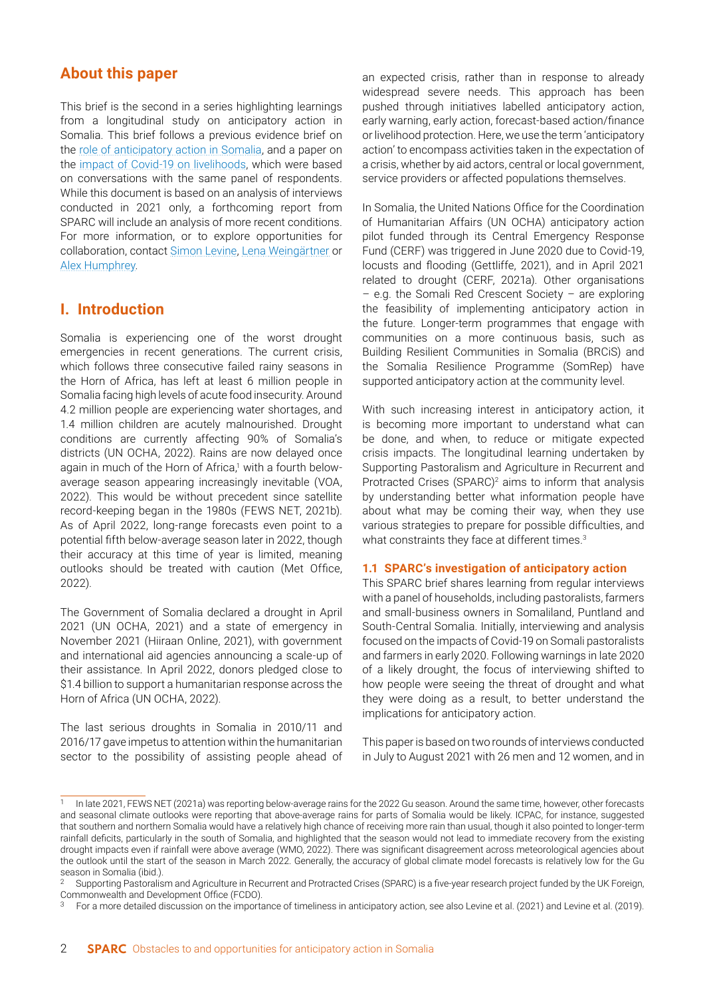## **About this paper**

This brief is the second in a series highlighting learnings from a longitudinal study on anticipatory action in Somalia. This brief follows a previous evidence brief on the [role of anticipatory action in Somalia](https://www.sparc-knowledge.org/sites/default/files/documents/resources/hires-aa-brief-v3.pdf), and a paper on the [impact of Covid-19 on livelihoods,](https://www.sparc-knowledge.org/news-features/features/one-more-lifes-difficulties-impacts-covid-19-livelihoods-somalia) which were based on conversations with the same panel of respondents. While this document is based on an analysis of interviews conducted in 2021 only, a forthcoming report from SPARC will include an analysis of more recent conditions. For more information, or to explore opportunities for collaboration, contact [Simon Levine](mailto:s.levine%40odi.org.uk?subject=), [Lena Weingärtner](mailto:l.weingartner%40odi.org.uk?subject=) or [Alex Humphrey](mailto:ahumphrey%40mercycorps.org?subject=).

## **I. Introduction**

Somalia is experiencing one of the worst drought emergencies in recent generations. The current crisis, which follows three consecutive failed rainy seasons in the Horn of Africa, has left at least 6 million people in Somalia facing high levels of acute food insecurity. Around 4.2 million people are experiencing water shortages, and 1.4 million children are acutely malnourished. Drought conditions are currently affecting 90% of Somalia's districts (UN OCHA, 2022). Rains are now delayed once again in much of the Horn of Africa,<sup>1</sup> with a fourth belowaverage season appearing increasingly inevitable (VOA, 2022). This would be without precedent since satellite record-keeping began in the 1980s (FEWS NET, 2021b). As of April 2022, long-range forecasts even point to a potential fifth below-average season later in 2022, though their accuracy at this time of year is limited, meaning outlooks should be treated with caution (Met Office, 2022).

The Government of Somalia declared a drought in April 2021 (UN OCHA, 2021) and a state of emergency in November 2021 (Hiiraan Online, 2021), with government and international aid agencies announcing a scale-up of their assistance. In April 2022, donors pledged close to \$1.4 billion to support a humanitarian response across the Horn of Africa (UN OCHA, 2022).

The last serious droughts in Somalia in 2010/11 and 2016/17 gave impetus to attention within the humanitarian sector to the possibility of assisting people ahead of an expected crisis, rather than in response to already widespread severe needs. This approach has been pushed through initiatives labelled anticipatory action, early warning, early action, forecast-based action/finance or livelihood protection. Here, we use the term 'anticipatory action' to encompass activities taken in the expectation of a crisis, whether by aid actors, central or local government, service providers or affected populations themselves.

In Somalia, the United Nations Office for the Coordination of Humanitarian Affairs (UN OCHA) anticipatory action pilot funded through its Central Emergency Response Fund (CERF) was triggered in June 2020 due to Covid-19, locusts and flooding (Gettliffe, 2021), and in April 2021 related to drought (CERF, 2021a). Other organisations – e.g. the Somali Red Crescent Society – are exploring the feasibility of implementing anticipatory action in the future. Longer-term programmes that engage with communities on a more continuous basis, such as Building Resilient Communities in Somalia (BRCiS) and the Somalia Resilience Programme (SomRep) have supported anticipatory action at the community level.

With such increasing interest in anticipatory action, it is becoming more important to understand what can be done, and when, to reduce or mitigate expected crisis impacts. The longitudinal learning undertaken by Supporting Pastoralism and Agriculture in Recurrent and Protracted Crises (SPARC)<sup>2</sup> aims to inform that analysis by understanding better what information people have about what may be coming their way, when they use various strategies to prepare for possible difficulties, and what constraints they face at different times.<sup>3</sup>

#### **1.1 SPARC's investigation of anticipatory action**

This SPARC brief shares learning from regular interviews with a panel of households, including pastoralists, farmers and small-business owners in Somaliland, Puntland and South-Central Somalia. Initially, interviewing and analysis focused on the impacts of Covid-19 on Somali pastoralists and farmers in early 2020. Following warnings in late 2020 of a likely drought, the focus of interviewing shifted to how people were seeing the threat of drought and what they were doing as a result, to better understand the implications for anticipatory action.

This paper is based on two rounds of interviews conducted in July to August 2021 with 26 men and 12 women, and in

In late 2021, FEWS NET (2021a) was reporting below-average rains for the 2022 Gu season. Around the same time, however, other forecasts and seasonal climate outlooks were reporting that above-average rains for parts of Somalia would be likely. ICPAC, for instance, suggested that southern and northern Somalia would have a relatively high chance of receiving more rain than usual, though it also pointed to longer-term rainfall deficits, particularly in the south of Somalia, and highlighted that the season would not lead to immediate recovery from the existing drought impacts even if rainfall were above average (WMO, 2022). There was significant disagreement across meteorological agencies about the outlook until the start of the season in March 2022. Generally, the accuracy of global climate model forecasts is relatively low for the Gu season in Somalia (ibid.).

<sup>&</sup>lt;sup>2</sup> Supporting Pastoralism and Agriculture in Recurrent and Protracted Crises (SPARC) is a five-year research project funded by the UK Foreign, Commonwealth and Development Office (FCDO).

For a more detailed discussion on the importance of timeliness in anticipatory action, see also Levine et al. (2021) and Levine et al. (2019).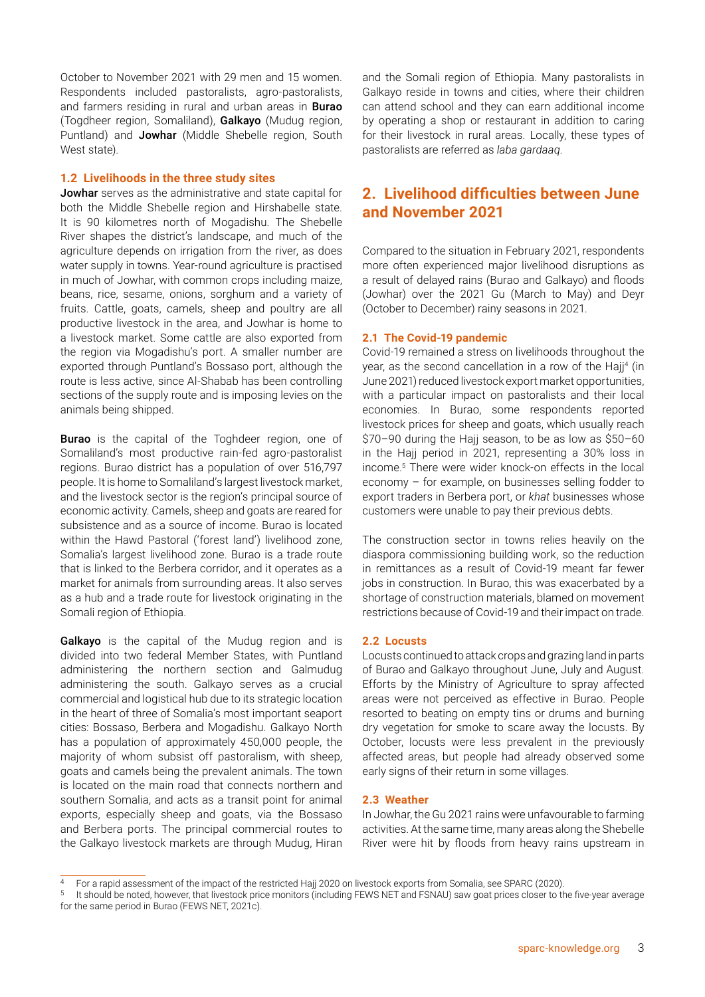October to November 2021 with 29 men and 15 women. Respondents included pastoralists, agro-pastoralists, and farmers residing in rural and urban areas in **Burao** (Togdheer region, Somaliland), Galkayo (Mudug region, Puntland) and Jowhar (Middle Shebelle region, South West state).

#### **1.2 Livelihoods in the three study sites**

**Jowhar** serves as the administrative and state capital for both the Middle Shebelle region and Hirshabelle state. It is 90 kilometres north of Mogadishu. The Shebelle River shapes the district's landscape, and much of the agriculture depends on irrigation from the river, as does water supply in towns. Year-round agriculture is practised in much of Jowhar, with common crops including maize, beans, rice, sesame, onions, sorghum and a variety of fruits. Cattle, goats, camels, sheep and poultry are all productive livestock in the area, and Jowhar is home to a livestock market. Some cattle are also exported from the region via Mogadishu's port. A smaller number are exported through Puntland's Bossaso port, although the route is less active, since Al-Shabab has been controlling sections of the supply route and is imposing levies on the animals being shipped.

**Burao** is the capital of the Toghdeer region, one of Somaliland's most productive rain-fed agro-pastoralist regions. Burao district has a population of over 516,797 people. It is home to Somaliland's largest livestock market, and the livestock sector is the region's principal source of economic activity. Camels, sheep and goats are reared for subsistence and as a source of income. Burao is located within the Hawd Pastoral ('forest land') livelihood zone, Somalia's largest livelihood zone. Burao is a trade route that is linked to the Berbera corridor, and it operates as a market for animals from surrounding areas. It also serves as a hub and a trade route for livestock originating in the Somali region of Ethiopia.

Galkayo is the capital of the Mudug region and is divided into two federal Member States, with Puntland administering the northern section and Galmudug administering the south. Galkayo serves as a crucial commercial and logistical hub due to its strategic location in the heart of three of Somalia's most important seaport cities: Bossaso, Berbera and Mogadishu. Galkayo North has a population of approximately 450,000 people, the majority of whom subsist off pastoralism, with sheep, goats and camels being the prevalent animals. The town is located on the main road that connects northern and southern Somalia, and acts as a transit point for animal exports, especially sheep and goats, via the Bossaso and Berbera ports. The principal commercial routes to the Galkayo livestock markets are through Mudug, Hiran and the Somali region of Ethiopia. Many pastoralists in Galkayo reside in towns and cities, where their children can attend school and they can earn additional income by operating a shop or restaurant in addition to caring for their livestock in rural areas. Locally, these types of pastoralists are referred as *laba gardaaq*.

## **2. Livelihood difficulties between June and November 2021**

Compared to the situation in February 2021, respondents more often experienced major livelihood disruptions as a result of delayed rains (Burao and Galkayo) and floods (Jowhar) over the 2021 Gu (March to May) and Deyr (October to December) rainy seasons in 2021.

#### **2.1 The Covid-19 pandemic**

Covid-19 remained a stress on livelihoods throughout the year, as the second cancellation in a row of the Hajj<sup>4</sup> (in June 2021) reduced livestock export market opportunities, with a particular impact on pastoralists and their local economies. In Burao, some respondents reported livestock prices for sheep and goats, which usually reach \$70–90 during the Hajj season, to be as low as \$50–60 in the Hajj period in 2021, representing a 30% loss in income.5 There were wider knock-on effects in the local economy – for example, on businesses selling fodder to export traders in Berbera port, or *khat* businesses whose customers were unable to pay their previous debts.

The construction sector in towns relies heavily on the diaspora commissioning building work, so the reduction in remittances as a result of Covid-19 meant far fewer jobs in construction. In Burao, this was exacerbated by a shortage of construction materials, blamed on movement restrictions because of Covid-19 and their impact on trade.

#### **2.2 Locusts**

Locusts continued to attack crops and grazing land in parts of Burao and Galkayo throughout June, July and August. Efforts by the Ministry of Agriculture to spray affected areas were not perceived as effective in Burao. People resorted to beating on empty tins or drums and burning dry vegetation for smoke to scare away the locusts. By October, locusts were less prevalent in the previously affected areas, but people had already observed some early signs of their return in some villages.

#### **2.3 Weather**

In Jowhar, the Gu 2021 rains were unfavourable to farming activities. At the same time, many areas along the Shebelle River were hit by floods from heavy rains upstream in

<sup>4</sup> For a rapid assessment of the impact of the restricted Hajj 2020 on livestock exports from Somalia, see SPARC (2020).

<sup>5</sup> It should be noted, however, that livestock price monitors (including FEWS NET and FSNAU) saw goat prices closer to the five-year average for the same period in Burao (FEWS NET, 2021c).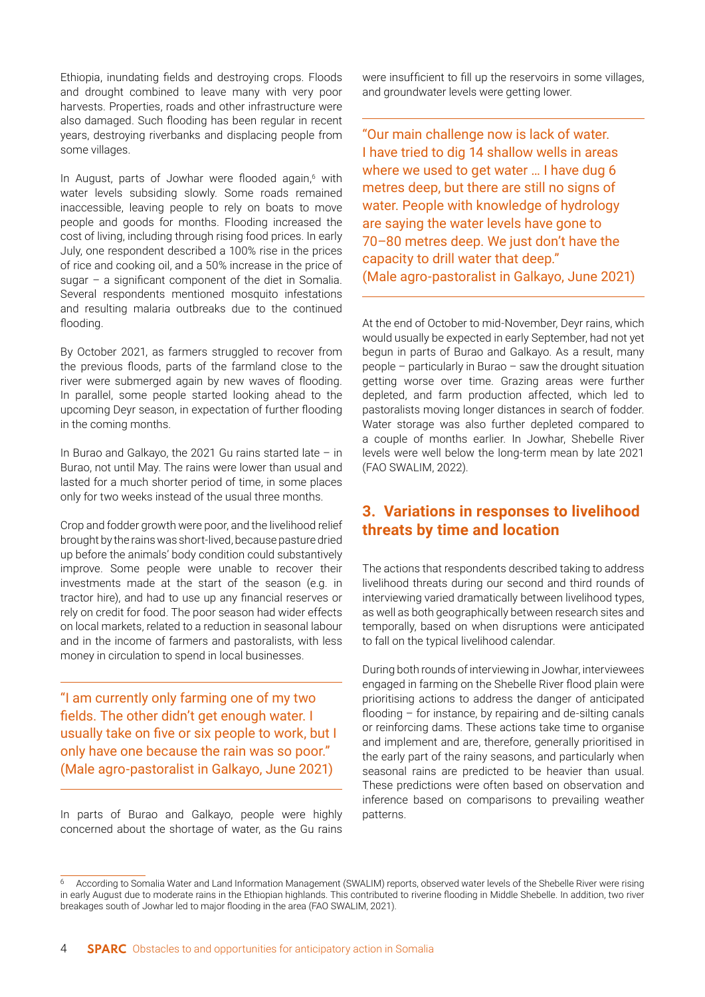Ethiopia, inundating fields and destroying crops. Floods and drought combined to leave many with very poor harvests. Properties, roads and other infrastructure were also damaged. Such flooding has been regular in recent years, destroying riverbanks and displacing people from some villages.

In August, parts of Jowhar were flooded again,<sup>6</sup> with water levels subsiding slowly. Some roads remained inaccessible, leaving people to rely on boats to move people and goods for months. Flooding increased the cost of living, including through rising food prices. In early July, one respondent described a 100% rise in the prices of rice and cooking oil, and a 50% increase in the price of sugar – a significant component of the diet in Somalia. Several respondents mentioned mosquito infestations and resulting malaria outbreaks due to the continued flooding.

By October 2021, as farmers struggled to recover from the previous floods, parts of the farmland close to the river were submerged again by new waves of flooding. In parallel, some people started looking ahead to the upcoming Deyr season, in expectation of further flooding in the coming months.

In Burao and Galkayo, the 2021 Gu rains started late – in Burao, not until May. The rains were lower than usual and lasted for a much shorter period of time, in some places only for two weeks instead of the usual three months.

Crop and fodder growth were poor, and the livelihood relief brought by the rains was short-lived, because pasture dried up before the animals' body condition could substantively improve. Some people were unable to recover their investments made at the start of the season (e.g. in tractor hire), and had to use up any financial reserves or rely on credit for food. The poor season had wider effects on local markets, related to a reduction in seasonal labour and in the income of farmers and pastoralists, with less money in circulation to spend in local businesses.

"I am currently only farming one of my two fields. The other didn't get enough water. I usually take on five or six people to work, but I only have one because the rain was so poor." (Male agro-pastoralist in Galkayo, June 2021)

In parts of Burao and Galkayo, people were highly concerned about the shortage of water, as the Gu rains were insufficient to fill up the reservoirs in some villages, and groundwater levels were getting lower.

"Our main challenge now is lack of water. I have tried to dig 14 shallow wells in areas where we used to get water … I have dug 6 metres deep, but there are still no signs of water. People with knowledge of hydrology are saying the water levels have gone to 70–80 metres deep. We just don't have the capacity to drill water that deep." (Male agro-pastoralist in Galkayo, June 2021)

At the end of October to mid-November, Deyr rains, which would usually be expected in early September, had not yet begun in parts of Burao and Galkayo. As a result, many people – particularly in Burao – saw the drought situation getting worse over time. Grazing areas were further depleted, and farm production affected, which led to pastoralists moving longer distances in search of fodder. Water storage was also further depleted compared to a couple of months earlier. In Jowhar, Shebelle River levels were well below the long-term mean by late 2021 (FAO SWALIM, 2022).

# **3. Variations in responses to livelihood threats by time and location**

The actions that respondents described taking to address livelihood threats during our second and third rounds of interviewing varied dramatically between livelihood types, as well as both geographically between research sites and temporally, based on when disruptions were anticipated to fall on the typical livelihood calendar.

During both rounds of interviewing in Jowhar, interviewees engaged in farming on the Shebelle River flood plain were prioritising actions to address the danger of anticipated flooding – for instance, by repairing and de-silting canals or reinforcing dams. These actions take time to organise and implement and are, therefore, generally prioritised in the early part of the rainy seasons, and particularly when seasonal rains are predicted to be heavier than usual. These predictions were often based on observation and inference based on comparisons to prevailing weather patterns.

<sup>6</sup> According to Somalia Water and Land Information Management (SWALIM) reports, observed water levels of the Shebelle River were rising in early August due to moderate rains in the Ethiopian highlands. This contributed to riverine flooding in Middle Shebelle. In addition, two river breakages south of Jowhar led to major flooding in the area (FAO SWALIM, 2021).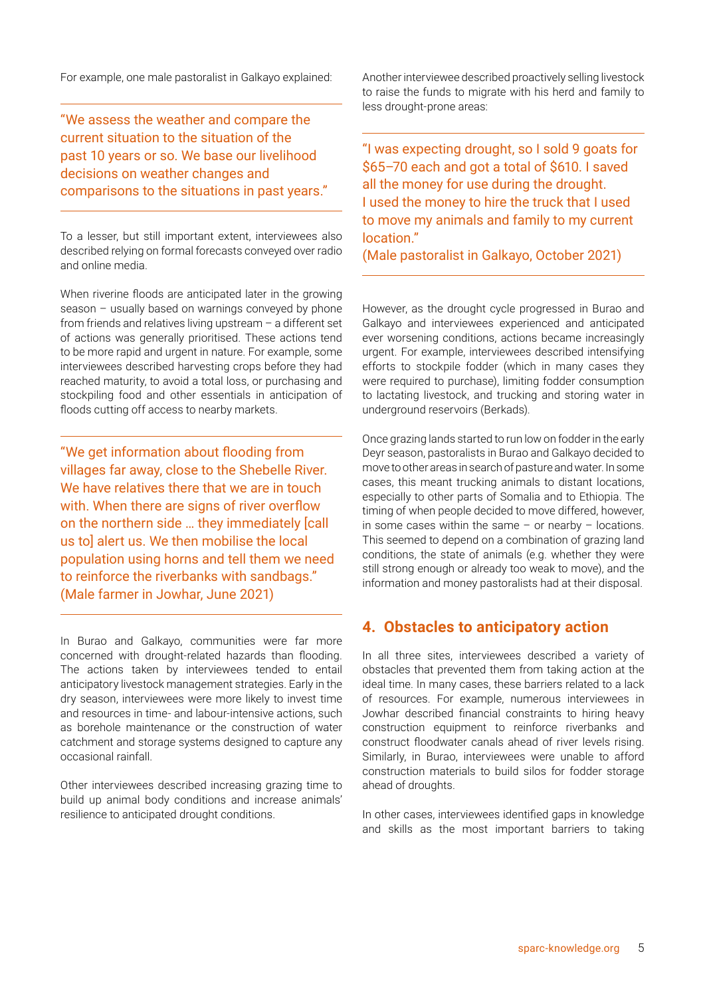For example, one male pastoralist in Galkayo explained:

"We assess the weather and compare the current situation to the situation of the past 10 years or so. We base our livelihood decisions on weather changes and comparisons to the situations in past years."

To a lesser, but still important extent, interviewees also described relying on formal forecasts conveyed over radio and online media.

When riverine floods are anticipated later in the growing season – usually based on warnings conveyed by phone from friends and relatives living upstream – a different set of actions was generally prioritised. These actions tend to be more rapid and urgent in nature. For example, some interviewees described harvesting crops before they had reached maturity, to avoid a total loss, or purchasing and stockpiling food and other essentials in anticipation of floods cutting off access to nearby markets.

"We get information about flooding from villages far away, close to the Shebelle River. We have relatives there that we are in touch with. When there are signs of river overflow on the northern side … they immediately [call us to] alert us. We then mobilise the local population using horns and tell them we need to reinforce the riverbanks with sandbags." (Male farmer in Jowhar, June 2021)

In Burao and Galkayo, communities were far more concerned with drought-related hazards than flooding. The actions taken by interviewees tended to entail anticipatory livestock management strategies. Early in the dry season, interviewees were more likely to invest time and resources in time- and labour-intensive actions, such as borehole maintenance or the construction of water catchment and storage systems designed to capture any occasional rainfall.

Other interviewees described increasing grazing time to build up animal body conditions and increase animals' resilience to anticipated drought conditions.

Another interviewee described proactively selling livestock to raise the funds to migrate with his herd and family to less drought-prone areas:

"I was expecting drought, so I sold 9 goats for \$65–70 each and got a total of \$610. I saved all the money for use during the drought. I used the money to hire the truck that I used to move my animals and family to my current location."

(Male pastoralist in Galkayo, October 2021)

However, as the drought cycle progressed in Burao and Galkayo and interviewees experienced and anticipated ever worsening conditions, actions became increasingly urgent. For example, interviewees described intensifying efforts to stockpile fodder (which in many cases they were required to purchase), limiting fodder consumption to lactating livestock, and trucking and storing water in underground reservoirs (Berkads).

Once grazing lands started to run low on fodder in the early Deyr season, pastoralists in Burao and Galkayo decided to move to other areas in search of pasture and water. In some cases, this meant trucking animals to distant locations, especially to other parts of Somalia and to Ethiopia. The timing of when people decided to move differed, however, in some cases within the same  $-$  or nearby  $-$  locations. This seemed to depend on a combination of grazing land conditions, the state of animals (e.g. whether they were still strong enough or already too weak to move), and the information and money pastoralists had at their disposal.

## **4. Obstacles to anticipatory action**

In all three sites, interviewees described a variety of obstacles that prevented them from taking action at the ideal time. In many cases, these barriers related to a lack of resources. For example, numerous interviewees in Jowhar described financial constraints to hiring heavy construction equipment to reinforce riverbanks and construct floodwater canals ahead of river levels rising. Similarly, in Burao, interviewees were unable to afford construction materials to build silos for fodder storage ahead of droughts.

In other cases, interviewees identified gaps in knowledge and skills as the most important barriers to taking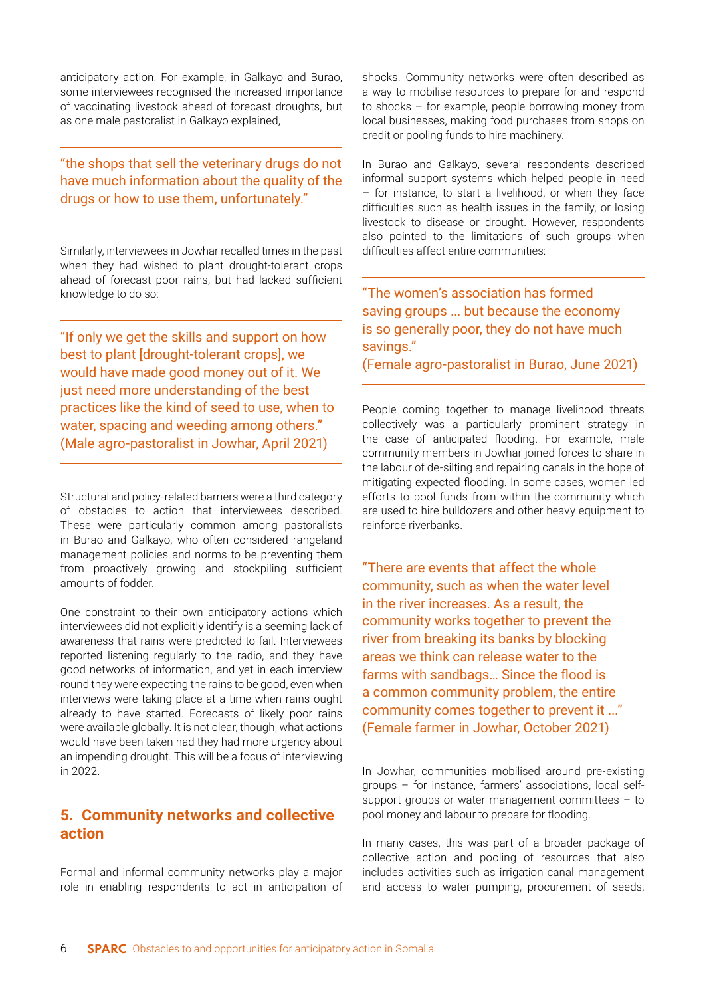anticipatory action. For example, in Galkayo and Burao, some interviewees recognised the increased importance of vaccinating livestock ahead of forecast droughts, but as one male pastoralist in Galkayo explained,

"the shops that sell the veterinary drugs do not have much information about the quality of the drugs or how to use them, unfortunately."

Similarly, interviewees in Jowhar recalled times in the past when they had wished to plant drought-tolerant crops ahead of forecast poor rains, but had lacked sufficient knowledge to do so:

"If only we get the skills and support on how best to plant [drought-tolerant crops], we would have made good money out of it. We just need more understanding of the best practices like the kind of seed to use, when to water, spacing and weeding among others." (Male agro-pastoralist in Jowhar, April 2021)

Structural and policy-related barriers were a third category of obstacles to action that interviewees described. These were particularly common among pastoralists in Burao and Galkayo, who often considered rangeland management policies and norms to be preventing them from proactively growing and stockpiling sufficient amounts of fodder.

One constraint to their own anticipatory actions which interviewees did not explicitly identify is a seeming lack of awareness that rains were predicted to fail. Interviewees reported listening regularly to the radio, and they have good networks of information, and yet in each interview round they were expecting the rains to be good, even when interviews were taking place at a time when rains ought already to have started. Forecasts of likely poor rains were available globally. It is not clear, though, what actions would have been taken had they had more urgency about an impending drought. This will be a focus of interviewing in 2022.

# **5. Community networks and collective action**

Formal and informal community networks play a major role in enabling respondents to act in anticipation of shocks. Community networks were often described as a way to mobilise resources to prepare for and respond to shocks – for example, people borrowing money from local businesses, making food purchases from shops on credit or pooling funds to hire machinery.

In Burao and Galkayo, several respondents described informal support systems which helped people in need – for instance, to start a livelihood, or when they face difficulties such as health issues in the family, or losing livestock to disease or drought. However, respondents also pointed to the limitations of such groups when difficulties affect entire communities:

"The women's association has formed saving groups ... but because the economy is so generally poor, they do not have much savings."

(Female agro-pastoralist in Burao, June 2021)

People coming together to manage livelihood threats collectively was a particularly prominent strategy in the case of anticipated flooding. For example, male community members in Jowhar joined forces to share in the labour of de-silting and repairing canals in the hope of mitigating expected flooding. In some cases, women led efforts to pool funds from within the community which are used to hire bulldozers and other heavy equipment to reinforce riverbanks.

"There are events that affect the whole community, such as when the water level in the river increases. As a result, the community works together to prevent the river from breaking its banks by blocking areas we think can release water to the farms with sandbags… Since the flood is a common community problem, the entire community comes together to prevent it ..." (Female farmer in Jowhar, October 2021)

In Jowhar, communities mobilised around pre-existing groups – for instance, farmers' associations, local selfsupport groups or water management committees – to pool money and labour to prepare for flooding.

In many cases, this was part of a broader package of collective action and pooling of resources that also includes activities such as irrigation canal management and access to water pumping, procurement of seeds,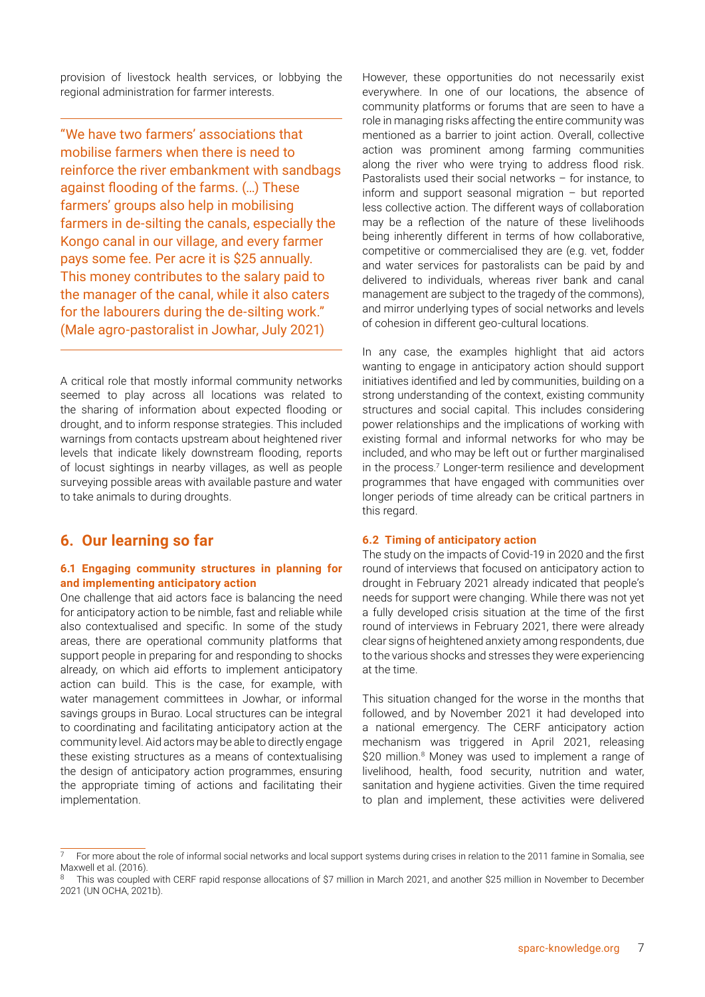provision of livestock health services, or lobbying the regional administration for farmer interests.

"We have two farmers' associations that mobilise farmers when there is need to reinforce the river embankment with sandbags against flooding of the farms. (…) These farmers' groups also help in mobilising farmers in de-silting the canals, especially the Kongo canal in our village, and every farmer pays some fee. Per acre it is \$25 annually. This money contributes to the salary paid to the manager of the canal, while it also caters for the labourers during the de-silting work." (Male agro-pastoralist in Jowhar, July 2021)

A critical role that mostly informal community networks seemed to play across all locations was related to the sharing of information about expected flooding or drought, and to inform response strategies. This included warnings from contacts upstream about heightened river levels that indicate likely downstream flooding, reports of locust sightings in nearby villages, as well as people surveying possible areas with available pasture and water to take animals to during droughts.

# **6. Our learning so far**

#### **6.1 Engaging community structures in planning for and implementing anticipatory action**

One challenge that aid actors face is balancing the need for anticipatory action to be nimble, fast and reliable while also contextualised and specific. In some of the study areas, there are operational community platforms that support people in preparing for and responding to shocks already, on which aid efforts to implement anticipatory action can build. This is the case, for example, with water management committees in Jowhar, or informal savings groups in Burao. Local structures can be integral to coordinating and facilitating anticipatory action at the community level. Aid actors may be able to directly engage these existing structures as a means of contextualising the design of anticipatory action programmes, ensuring the appropriate timing of actions and facilitating their implementation.

However, these opportunities do not necessarily exist everywhere. In one of our locations, the absence of community platforms or forums that are seen to have a role in managing risks affecting the entire community was mentioned as a barrier to joint action. Overall, collective action was prominent among farming communities along the river who were trying to address flood risk. Pastoralists used their social networks – for instance, to inform and support seasonal migration – but reported less collective action. The different ways of collaboration may be a reflection of the nature of these livelihoods being inherently different in terms of how collaborative, competitive or commercialised they are (e.g. vet, fodder and water services for pastoralists can be paid by and delivered to individuals, whereas river bank and canal management are subject to the tragedy of the commons), and mirror underlying types of social networks and levels of cohesion in different geo-cultural locations.

In any case, the examples highlight that aid actors wanting to engage in anticipatory action should support initiatives identified and led by communities, building on a strong understanding of the context, existing community structures and social capital. This includes considering power relationships and the implications of working with existing formal and informal networks for who may be included, and who may be left out or further marginalised in the process.<sup>7</sup> Longer-term resilience and development programmes that have engaged with communities over longer periods of time already can be critical partners in this regard.

#### **6.2 Timing of anticipatory action**

The study on the impacts of Covid-19 in 2020 and the first round of interviews that focused on anticipatory action to drought in February 2021 already indicated that people's needs for support were changing. While there was not yet a fully developed crisis situation at the time of the first round of interviews in February 2021, there were already clear signs of heightened anxiety among respondents, due to the various shocks and stresses they were experiencing at the time.

This situation changed for the worse in the months that followed, and by November 2021 it had developed into a national emergency. The CERF anticipatory action mechanism was triggered in April 2021, releasing \$20 million.<sup>8</sup> Money was used to implement a range of livelihood, health, food security, nutrition and water, sanitation and hygiene activities. Given the time required to plan and implement, these activities were delivered

<sup>7</sup> For more about the role of informal social networks and local support systems during crises in relation to the 2011 famine in Somalia, see Maxwell et al. (2016).

This was coupled with CERF rapid response allocations of \$7 million in March 2021, and another \$25 million in November to December 2021 (UN OCHA, 2021b).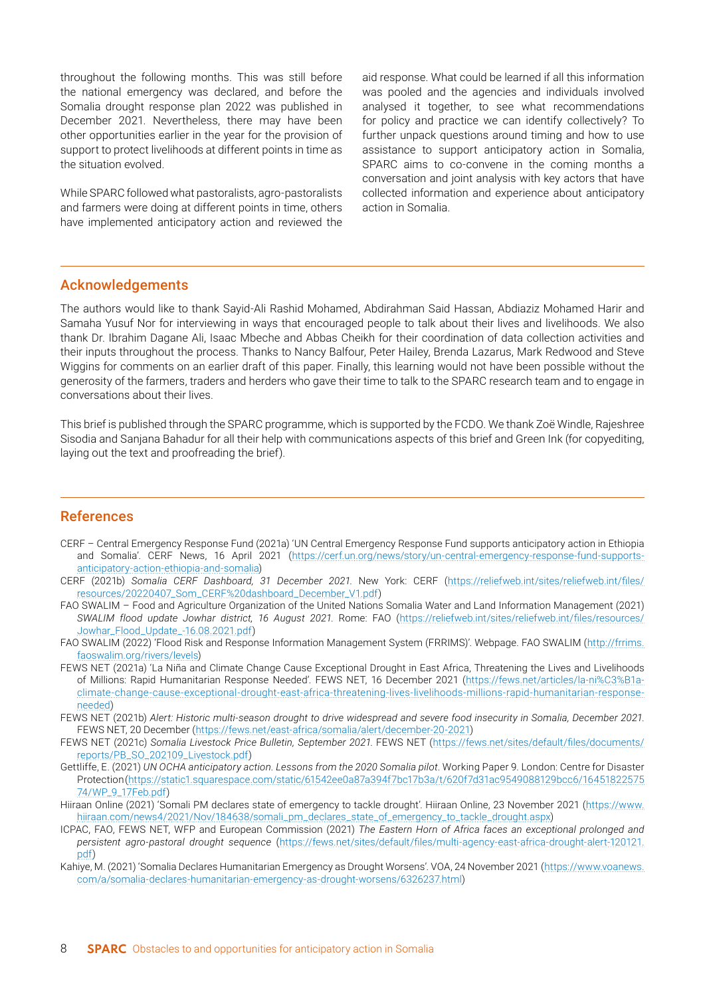throughout the following months. This was still before the national emergency was declared, and before the Somalia drought response plan 2022 was published in December 2021. Nevertheless, there may have been other opportunities earlier in the year for the provision of support to protect livelihoods at different points in time as the situation evolved.

While SPARC followed what pastoralists, agro-pastoralists and farmers were doing at different points in time, others have implemented anticipatory action and reviewed the aid response. What could be learned if all this information was pooled and the agencies and individuals involved analysed it together, to see what recommendations for policy and practice we can identify collectively? To further unpack questions around timing and how to use assistance to support anticipatory action in Somalia, SPARC aims to co-convene in the coming months a conversation and joint analysis with key actors that have collected information and experience about anticipatory action in Somalia.

#### Acknowledgements

The authors would like to thank Sayid-Ali Rashid Mohamed, Abdirahman Said Hassan, Abdiaziz Mohamed Harir and Samaha Yusuf Nor for interviewing in ways that encouraged people to talk about their lives and livelihoods. We also thank Dr. Ibrahim Dagane Ali, Isaac Mbeche and Abbas Cheikh for their coordination of data collection activities and their inputs throughout the process. Thanks to Nancy Balfour, Peter Hailey, Brenda Lazarus, Mark Redwood and Steve Wiggins for comments on an earlier draft of this paper. Finally, this learning would not have been possible without the generosity of the farmers, traders and herders who gave their time to talk to the SPARC research team and to engage in conversations about their lives.

This brief is published through the SPARC programme, which is supported by the FCDO. We thank Zoë Windle, Rajeshree Sisodia and Sanjana Bahadur for all their help with communications aspects of this brief and [Green Ink](http://greenink.co.uk) (for copyediting, laying out the text and proofreading the brief).

#### References

- CERF Central Emergency Response Fund (2021a) 'UN Central Emergency Response Fund supports anticipatory action in Ethiopia and Somalia'. CERF News, 16 April 2021 ([https://cerf.un.org/news/story/un-central-emergency-response-fund-supports](https://cerf.un.org/news/story/un-central-emergency-response-fund-supports-anticipatory-action-ethiopia-and-somalia)[anticipatory-action-ethiopia-and-somalia\)](https://cerf.un.org/news/story/un-central-emergency-response-fund-supports-anticipatory-action-ethiopia-and-somalia)
- CERF (2021b) *Somalia CERF Dashboard, 31 December 2021*. New York: CERF [\(https://reliefweb.int/sites/reliefweb.int/files/](https://reliefweb.int/sites/reliefweb.int/files/resources/20220407_Som_CERF%20dashboard_December_V1.pdf) [resources/20220407\\_Som\\_CERF%20dashboard\\_December\\_V1.pdf](https://reliefweb.int/sites/reliefweb.int/files/resources/20220407_Som_CERF%20dashboard_December_V1.pdf))
- FAO SWALIM Food and Agriculture Organization of the United Nations Somalia Water and Land Information Management (2021) *SWALIM flood update Jowhar district, 16 August 2021*. Rome: FAO ([https://reliefweb.int/sites/reliefweb.int/files/resources/](https://reliefweb.int/sites/reliefweb.int/files/resources/Jowhar_Flood_Update_-16.08.2021.pdf) [Jowhar\\_Flood\\_Update\\_-16.08.2021.pdf](https://reliefweb.int/sites/reliefweb.int/files/resources/Jowhar_Flood_Update_-16.08.2021.pdf))
- FAO SWALIM (2022) 'Flood Risk and Response Information Management System (FRRIMS)'. Webpage. FAO SWALIM ([http://frrims.](http://frrims.faoswalim.org/rivers/levels) [faoswalim.org/rivers/levels](http://frrims.faoswalim.org/rivers/levels))
- FEWS NET (2021a) 'La Niña and Climate Change Cause Exceptional Drought in East Africa, Threatening the Lives and Livelihoods of Millions: Rapid Humanitarian Response Needed'. FEWS NET, 16 December 2021 ([https://fews.net/articles/la-ni%C3%B1a](https://fews.net/articles/la-ni%C3%B1a-climate-change-cause-exceptional-drought-east-africa-threatening-lives-livelihoods-millions-rapid-humanitarian-response-needed)[climate-change-cause-exceptional-drought-east-africa-threatening-lives-livelihoods-millions-rapid-humanitarian-response](https://fews.net/articles/la-ni%C3%B1a-climate-change-cause-exceptional-drought-east-africa-threatening-lives-livelihoods-millions-rapid-humanitarian-response-needed)[needed](https://fews.net/articles/la-ni%C3%B1a-climate-change-cause-exceptional-drought-east-africa-threatening-lives-livelihoods-millions-rapid-humanitarian-response-needed))
- FEWS NET (2021b) *Alert: Historic multi-season drought to drive widespread and severe food insecurity in Somalia, December 2021*. FEWS NET, 20 December [\(https://fews.net/east-africa/somalia/alert/december-20-2021](https://fews.net/east-africa/somalia/alert/december-20-2021))
- FEWS NET (2021c) *Somalia Livestock Price Bulletin, September 2021*. FEWS NET ([https://fews.net/sites/default/files/documents/](https://fews.net/sites/default/files/documents/reports/PB_SO_202109_Livestock.pdf) [reports/PB\\_SO\\_202109\\_Livestock.pdf](https://fews.net/sites/default/files/documents/reports/PB_SO_202109_Livestock.pdf))
- Gettliffe, E. (2021) *UN OCHA anticipatory action. Lessons from the 2020 Somalia pilot*. Working Paper 9. London: Centre for Disaster Protection ([https://static1.squarespace.com/static/61542ee0a87a394f7bc17b3a/t/620f7d31ac9549088129bcc6/16451822575](https://static1.squarespace.com/static/61542ee0a87a394f7bc17b3a/t/620f7d31ac9549088129bcc6/1645182257574/WP_9_17Feb.pdf) [74/WP\\_9\\_17Feb.pdf](https://static1.squarespace.com/static/61542ee0a87a394f7bc17b3a/t/620f7d31ac9549088129bcc6/1645182257574/WP_9_17Feb.pdf))
- Hiiraan Online (2021) 'Somali PM declares state of emergency to tackle drought'. Hiiraan Online, 23 November 2021 ([https://www.](https://www.hiiraan.com/news4/2021/Nov/184638/somali_pm_declares_state_of_emergency_to_tackle_drought.aspx) [hiiraan.com/news4/2021/Nov/184638/somali\\_pm\\_declares\\_state\\_of\\_emergency\\_to\\_tackle\\_drought.aspx](https://www.hiiraan.com/news4/2021/Nov/184638/somali_pm_declares_state_of_emergency_to_tackle_drought.aspx))
- ICPAC, FAO, FEWS NET, WFP and European Commission (2021) *The Eastern Horn of Africa faces an exceptional prolonged and persistent agro-pastoral drought sequence* ([https://fews.net/sites/default/files/multi-agency-east-africa-drought-alert-120121.](https://fews.net/sites/default/files/multi-agency-east-africa-drought-alert-120121.pdf) [pdf](https://fews.net/sites/default/files/multi-agency-east-africa-drought-alert-120121.pdf))
- Kahiye, M. (2021) 'Somalia Declares Humanitarian Emergency as Drought Worsens'. VOA, 24 November 2021 ([https://www.voanews.](https://www.voanews.com/a/somalia-declares-humanitarian-emergency-as-drought-worsens/6326237.html) [com/a/somalia-declares-humanitarian-emergency-as-drought-worsens/6326237.html](https://www.voanews.com/a/somalia-declares-humanitarian-emergency-as-drought-worsens/6326237.html))